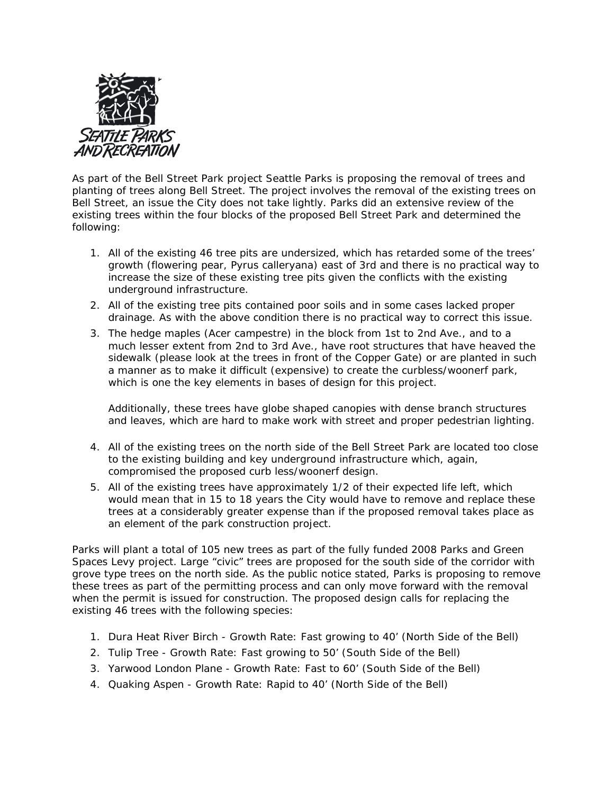

As part of the Bell Street Park project Seattle Parks is proposing the removal of trees and planting of trees along Bell Street. The project involves the removal of the existing trees on Bell Street, an issue the City does not take lightly. Parks did an extensive review of the existing trees within the four blocks of the proposed Bell Street Park and determined the following:

- 1. All of the existing 46 tree pits are undersized, which has retarded some of the trees' growth (flowering pear, Pyrus calleryana) east of 3rd and there is no practical way to increase the size of these existing tree pits given the conflicts with the existing underground infrastructure.
- 2. All of the existing tree pits contained poor soils and in some cases lacked proper drainage. As with the above condition there is no practical way to correct this issue.
- 3. The hedge maples (Acer campestre) in the block from 1st to 2nd Ave., and to a much lesser extent from 2nd to 3rd Ave., have root structures that have heaved the sidewalk (please look at the trees in front of the Copper Gate) or are planted in such a manner as to make it difficult (expensive) to create the curbless/woonerf park, which is one the key elements in bases of design for this project.

Additionally, these trees have globe shaped canopies with dense branch structures and leaves, which are hard to make work with street and proper pedestrian lighting.

- 4. All of the existing trees on the north side of the Bell Street Park are located too close to the existing building and key underground infrastructure which, again, compromised the proposed curb less/woonerf design.
- 5. All of the existing trees have approximately 1/2 of their expected life left, which would mean that in 15 to 18 years the City would have to remove and replace these trees at a considerably greater expense than if the proposed removal takes place as an element of the park construction project.

Parks will plant a total of 105 new trees as part of the fully funded 2008 Parks and Green Spaces Levy project. Large "civic" trees are proposed for the south side of the corridor with grove type trees on the north side. As the public notice stated, Parks is proposing to remove these trees as part of the permitting process and can only move forward with the removal when the permit is issued for construction. The proposed design calls for replacing the existing 46 trees with the following species:

- 1. Dura Heat River Birch Growth Rate: Fast growing to 40' (North Side of the Bell)
- 2. Tulip Tree Growth Rate: Fast growing to 50' (South Side of the Bell)
- 3. Yarwood London Plane Growth Rate: Fast to 60' (South Side of the Bell)
- 4. Quaking Aspen Growth Rate: Rapid to 40' (North Side of the Bell)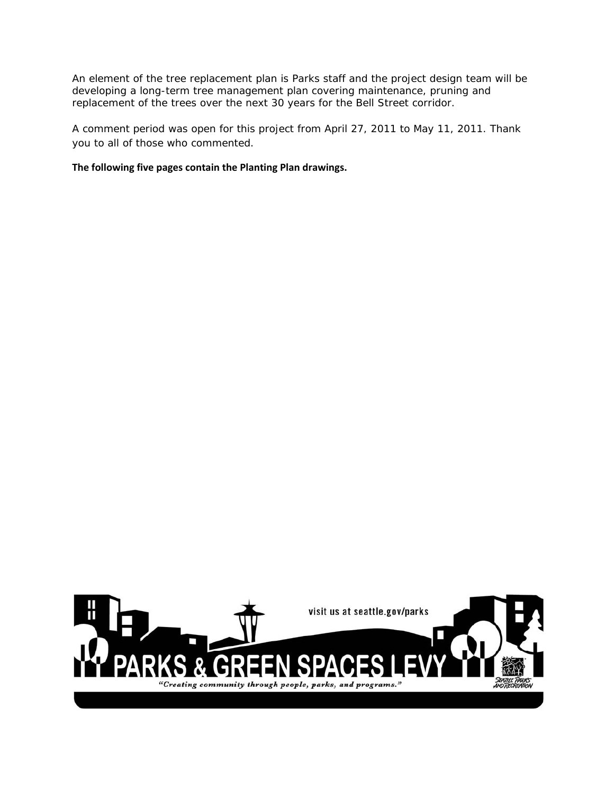An element of the tree replacement plan is Parks staff and the project design team will be developing a long-term tree management plan covering maintenance, pruning and replacement of the trees over the next 30 years for the Bell Street corridor.

A comment period was open for this project from April 27, 2011 to May 11, 2011. Thank you to all of those who commented.

**The following five pages contain the Planting Plan drawings.**

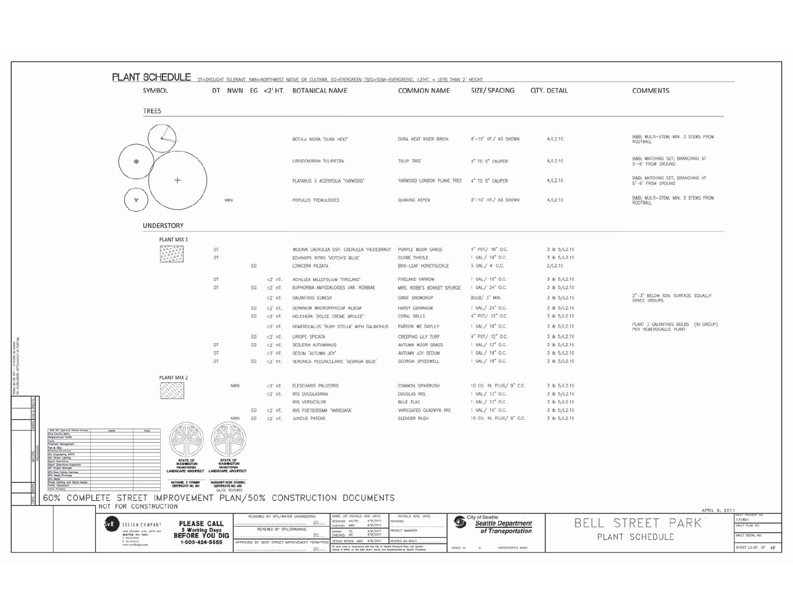|                                                                                                                  | PLANT SCHEDULE                                                  |                                                |                                       |                                   | DT=DROUGHT TOLERANT, NWN=NORTHWEST NATIVE OR CULTIVAR, EG=EVERGREEN (SEG=SEMI-EVERGREEN), <2'HT, = LESS THAN 2' HEIGHT                                                                                                                          |                                                   |                                               |                            |                                                              |                   |
|------------------------------------------------------------------------------------------------------------------|-----------------------------------------------------------------|------------------------------------------------|---------------------------------------|-----------------------------------|-------------------------------------------------------------------------------------------------------------------------------------------------------------------------------------------------------------------------------------------------|---------------------------------------------------|-----------------------------------------------|----------------------------|--------------------------------------------------------------|-------------------|
|                                                                                                                  | <b>SYMBOL</b>                                                   |                                                |                                       |                                   | DT NWN EG <2' HT. BOTANICAL NAME                                                                                                                                                                                                                | <b>COMMON NAME</b>                                | SIZE/ SPACING                                 | QTY. DETAIL                | <b>COMMENTS</b>                                              |                   |
|                                                                                                                  |                                                                 |                                                |                                       |                                   |                                                                                                                                                                                                                                                 |                                                   |                                               |                            |                                                              |                   |
|                                                                                                                  | <b>TREES</b>                                                    |                                                |                                       |                                   |                                                                                                                                                                                                                                                 |                                                   |                                               |                            |                                                              |                   |
|                                                                                                                  |                                                                 |                                                |                                       |                                   |                                                                                                                                                                                                                                                 |                                                   |                                               |                            |                                                              |                   |
|                                                                                                                  |                                                                 |                                                |                                       |                                   |                                                                                                                                                                                                                                                 |                                                   |                                               |                            | B&B MULTI-STEM; MIN. 3 STEMS FROM                            |                   |
|                                                                                                                  |                                                                 |                                                |                                       |                                   | BETULA NIGRA "DURA HEAT"                                                                                                                                                                                                                        | DURA HEAT RIVER BIRCH                             | 8'-10' HT./ AS SHOWN                          | 4/12.10                    | ROOTBALL                                                     |                   |
|                                                                                                                  |                                                                 |                                                |                                       |                                   |                                                                                                                                                                                                                                                 |                                                   |                                               |                            | B&B MATCHING SET; BRANCHING AT                               |                   |
|                                                                                                                  | $\oplus$                                                        |                                                |                                       |                                   | LIRIODENDRON TULIPIFERA                                                                                                                                                                                                                         | TULIP TREE                                        | 4" TO 5" CALIPER                              | 4/12.10                    | 5'-6" FROM GROUND                                            |                   |
|                                                                                                                  |                                                                 | $^{+}$                                         |                                       |                                   | PLATANUS X ACERIFOLIA 'YARWOOD'                                                                                                                                                                                                                 | YARWOOD LONDON PLANE TREE                         | 4" TO 5" CALIPER                              | 4/12.10                    | B&B MATCHING SET; BRANCHING AT                               |                   |
|                                                                                                                  |                                                                 |                                                |                                       |                                   |                                                                                                                                                                                                                                                 |                                                   |                                               |                            | 5'-6" FROM GROUND                                            |                   |
|                                                                                                                  | $\frac{a_{\alpha}}{a}$                                          |                                                | NWN                                   |                                   | POPULUS TREMULOIDES                                                                                                                                                                                                                             | QUAKING ASPEN                                     | 8'-10' HT./ AS SHOWN                          | 4/12.10                    | B&B MULTI-STEM; MIN. 3 STEMS FROM                            |                   |
|                                                                                                                  |                                                                 |                                                |                                       |                                   |                                                                                                                                                                                                                                                 |                                                   |                                               |                            | ROOTBALL                                                     |                   |
|                                                                                                                  |                                                                 |                                                |                                       |                                   |                                                                                                                                                                                                                                                 |                                                   |                                               |                            |                                                              |                   |
|                                                                                                                  |                                                                 | <b>UNDERSTORY</b>                              |                                       |                                   |                                                                                                                                                                                                                                                 |                                                   |                                               |                            |                                                              |                   |
|                                                                                                                  |                                                                 | PLANT MIX 1                                    |                                       |                                   |                                                                                                                                                                                                                                                 |                                                   |                                               |                            |                                                              |                   |
|                                                                                                                  |                                                                 |                                                | DT                                    |                                   | MOLINIA CAERULEA SSP. CAERULEA 'HEIDEBRAUT' PURPLE MOOR GRASS                                                                                                                                                                                   |                                                   | 4" POT/ 18" O.C.                              | 3 & 5/L2.10                |                                                              |                   |
|                                                                                                                  |                                                                 |                                                | DT                                    |                                   | ECHINOPS RITRO 'VEITCH'S BLUE'                                                                                                                                                                                                                  | <b>GLOBE THISTLE</b>                              | 1 GAL/ 18" O.C.                               | 3 & 5/L2.10                |                                                              |                   |
|                                                                                                                  |                                                                 |                                                |                                       | EG                                | LONICERA PILEATA                                                                                                                                                                                                                                | BOX-LEAF HONEYSUCKLE                              | 5 GAL/ 4' O.C.                                | 2/12.10                    |                                                              |                   |
|                                                                                                                  |                                                                 |                                                | <b>DT</b>                             | $<2'$ HT.                         | ACHILLEA MILLEFOLIUM 'FIRELAND'                                                                                                                                                                                                                 | FIRELAND YARROW                                   | 1 GAL/ 15" O.C.                               | 3 & 5/L2.10                |                                                              |                   |
|                                                                                                                  |                                                                 |                                                | DT                                    | EG<br><2' HT.                     | EUPHORBIA AMYGDALOIDES VAR. ROBBIAE                                                                                                                                                                                                             | MRS. ROBB'S BONNET SPURGE                         | 1 GAL/ 24" O.C.                               | 3 & 5/L2.10                |                                                              |                   |
|                                                                                                                  |                                                                 |                                                |                                       | $<2'$ HT.                         | GALANTHUS ELWESII                                                                                                                                                                                                                               | GIANT SNOWDROP                                    | BULB/ 3" MIN.                                 | 3 & 5/L2.10                | 2"-3" BELOW SOIL SURFACE. EQUALLY<br>SPACE GROUPS.           |                   |
|                                                                                                                  |                                                                 |                                                |                                       | EG.<br><2' HT.                    | GERANIUM MACRORRHIZUM 'ALBUM'                                                                                                                                                                                                                   | HARDY GERANIUM                                    | 1 GAL/ 24" O.C.                               | 3 & 5/12.10                |                                                              |                   |
|                                                                                                                  |                                                                 |                                                |                                       | EG<br>$<2'$ HT.                   | HEUCHERA 'DOLCE CREME BRULEE'                                                                                                                                                                                                                   | CORAL BELLS                                       | 4" POT/ 12" O.C.                              | 3 & 5/L2.10                |                                                              |                   |
|                                                                                                                  |                                                                 |                                                |                                       | $<2'$ HT.                         | HEMEROCALLIS 'RUBY STELLA' WITH GALANTHUS                                                                                                                                                                                                       | PARDON ME DAYLILY                                 | 1 GAL/ 18" O.C.                               | 3 & 5/L2.10                | PLANT 3 GALANTHUS BULBS (IN GROUP)<br>PER HEMEROCALLIS PLANT |                   |
|                                                                                                                  |                                                                 |                                                |                                       | EG<br>$<2'$ HT.                   | LIRIOPE SPICATA                                                                                                                                                                                                                                 | CREEPING LILY TURF                                | 4" POT/ 12" O.C.                              | 3 & 5/L2.10                |                                                              |                   |
|                                                                                                                  |                                                                 |                                                | <b>DT</b>                             | EG.<br>$<2'$ HT.                  | SESLERIA AUTUMNALIS                                                                                                                                                                                                                             | AUTUMN MOOR GRASS                                 | 1 GAL/ 12" O.C.                               | 3 & 5/12.10                |                                                              |                   |
|                                                                                                                  |                                                                 |                                                | DT                                    | <2' HT.                           | SEDUM 'AUTUMN JOY'                                                                                                                                                                                                                              | AUTUMN JOY SEDUM                                  | 1 GAL/ 18" O.C.                               | 3 & 5/L2.10                |                                                              |                   |
|                                                                                                                  |                                                                 |                                                | DT                                    | EG<br>$<2'$ HT.                   | VERONICA PEDUNCULARIS "GEORGIA BLUE"                                                                                                                                                                                                            | GEORGIA SPEEDWELL                                 | 1 GAL/ 18" O.C.                               | 3 & 5/L2.10                |                                                              |                   |
|                                                                                                                  |                                                                 | PLANT MIX 2                                    |                                       |                                   |                                                                                                                                                                                                                                                 |                                                   |                                               |                            |                                                              |                   |
|                                                                                                                  |                                                                 |                                                | NWN                                   | $<2'$ HT.                         | ELEOCHARIS PALUSTRIS                                                                                                                                                                                                                            | <b>COMMON SPIKERUSH</b>                           | 10 CU. IN. PLUG/ 9" O.C.                      | 3 & 5/L2.10                |                                                              |                   |
|                                                                                                                  |                                                                 |                                                |                                       | $<2'$ HT.                         | IRIS DOUGLASIANA                                                                                                                                                                                                                                | DOUGLAS IRIS                                      | 1 GAL/ 12" O.C.                               | 3 & 5/12.10                |                                                              |                   |
|                                                                                                                  |                                                                 |                                                |                                       |                                   | IRIS VERSICOLOR                                                                                                                                                                                                                                 | BLUE FLAG                                         | 1 GAL/ 12" O.C.                               | 3 & 5/L2.10                |                                                              |                   |
|                                                                                                                  |                                                                 |                                                | <b>NWN</b>                            | EG<br>$<2'$ HT.<br>EG<br><2' HT.  | IRIS FOETIDISSIMA 'VARIEGATA'<br><b>JUNCUS PATENS</b>                                                                                                                                                                                           | VARIEGATED GLADWYN IRIS<br>SLENDER RUSH           | 1 GAL/ 15" O.C.<br>10 CU, IN, PLUG/ 9" O.C.   | 3 & 5/L2.10<br>3 & 5/12.10 |                                                              |                   |
|                                                                                                                  |                                                                 |                                                |                                       |                                   |                                                                                                                                                                                                                                                 |                                                   |                                               |                            |                                                              |                   |
| 60% SP Approved Re<br>King County Metro<br>Religiousheed Traffic<br>oval Review Groups                           |                                                                 |                                                |                                       |                                   |                                                                                                                                                                                                                                                 |                                                   |                                               |                            |                                                              |                   |
| Polks<br>Povement Management                                                                                     |                                                                 |                                                |                                       |                                   |                                                                                                                                                                                                                                                 |                                                   |                                               |                            |                                                              |                   |
| Pad & She<br>Roodway Structures                                                                                  |                                                                 |                                                |                                       |                                   |                                                                                                                                                                                                                                                 |                                                   |                                               |                            |                                                              |                   |
| Foodby Structure<br>1931, Direct Lighting<br>1944, Gerolfons<br>1944, Gerolfons Impactor<br>1961 Praject Wonoger |                                                                 | STATE OF                                       | STATE OF                              |                                   |                                                                                                                                                                                                                                                 |                                                   |                                               |                            |                                                              |                   |
| SPU Red Estate Services                                                                                          |                                                                 | WASHINGTON<br>REGISTERED<br>ANDISCAPE ARCHITEC | WASHINGTON<br><b>SCAPE ARCHITEC</b>   |                                   |                                                                                                                                                                                                                                                 |                                                   |                                               |                            |                                                              |                   |
|                                                                                                                  |                                                                 |                                                | MARGARET ROBE STAEHELD                |                                   |                                                                                                                                                                                                                                                 |                                                   |                                               |                            |                                                              |                   |
| SPU Writer<br>Street Lighting and Signal Dealgo<br>Traffic Operations<br>Union Forestry                          |                                                                 | NATHANIEL & CORMER<br>CERTEFICATE NO. 921      | CERTIFICATE NO. 458<br>QA/QC REVIEWER |                                   |                                                                                                                                                                                                                                                 |                                                   |                                               |                            |                                                              |                   |
|                                                                                                                  |                                                                 |                                                |                                       |                                   | 60% COMPLETE STREET IMPROVEMENT PLAN/50% CONSTRUCTION DOCUMENTS                                                                                                                                                                                 |                                                   |                                               |                            |                                                              |                   |
|                                                                                                                  | NOT FOR CONSTRUCTION                                            |                                                |                                       |                                   |                                                                                                                                                                                                                                                 |                                                   |                                               |                            | APRIL 8, 2011                                                |                   |
|                                                                                                                  |                                                                 |                                                |                                       | REVIEWED BY SPU/WATER ENGINEERING | <b>IAME OR INITIALS AND DATE</b><br>ESIGNED NC/TD<br>4/8/2011                                                                                                                                                                                   | INITIALS AND DATE                                 | City of Seattle                               |                            |                                                              | 131891            |
|                                                                                                                  | vR<br>DESIGN COMPANY                                            | <b>PLEASE CALL</b><br>3 Working Days           |                                       | REVIEWED BY SPU/DRAINAGE          | 20<br>4/8/2011<br>ECKED, MRS                                                                                                                                                                                                                    | VEWED:<br>$\mathbf{Q}_0$<br><b>IQJECT MANAGER</b> | <b>Seattle Department</b>                     |                            | BELL STREET PARK                                             | VAULT PLAN NO.    |
|                                                                                                                  | 1305 SECOND AVE SUITE 200<br>BEATTLE, WA 9001<br>T 288.223.0226 | <b>BEFORE YOU DIG</b>                          |                                       |                                   | 4/8/201<br>4/8/201<br>MWA5<br>20<br>ECKEZ                                                                                                                                                                                                       |                                                   | of Transportation                             |                            | PLANT SCHEDULE                                               | VALILT SERIAL NO  |
|                                                                                                                  | F 286,223,0025<br>www.avedosign.com                             | 1-800-424-5555                                 |                                       |                                   | ESIGN REVIEW MRS. 4/8/2011<br>APPROVED BY SDOT STREET IMPROVEMENT PERMITTIN<br>Af work done in accommonse with the City of Seattle Standard Plane and Specifi<br>critics in effect on the date shown obove, and augstemented by Special Provisi | REVISED AS-BUILT<br>SOALE: H.                     | INSPECTORS'S BOOK<br>$\mathcal{N}_\mathrm{e}$ |                            |                                                              | SHEET L2.00 OF ## |
|                                                                                                                  |                                                                 |                                                |                                       |                                   | 20.                                                                                                                                                                                                                                             |                                                   |                                               |                            |                                                              |                   |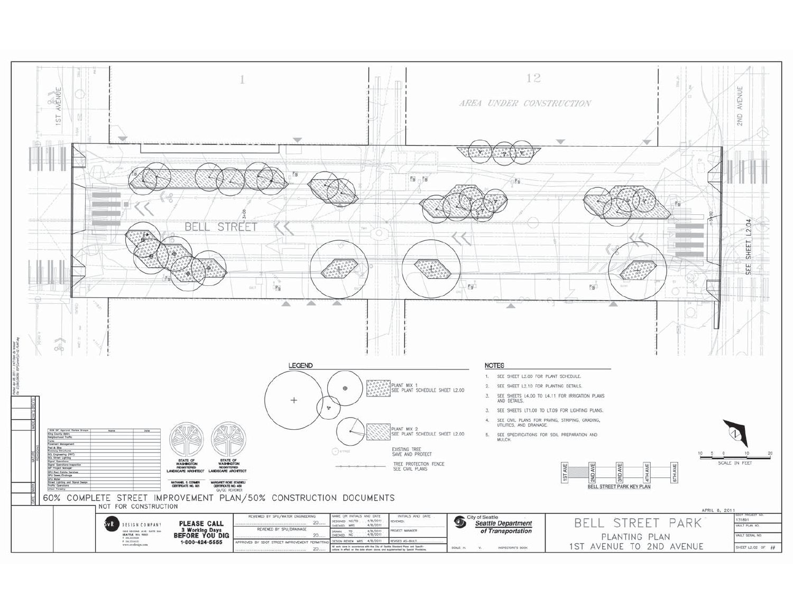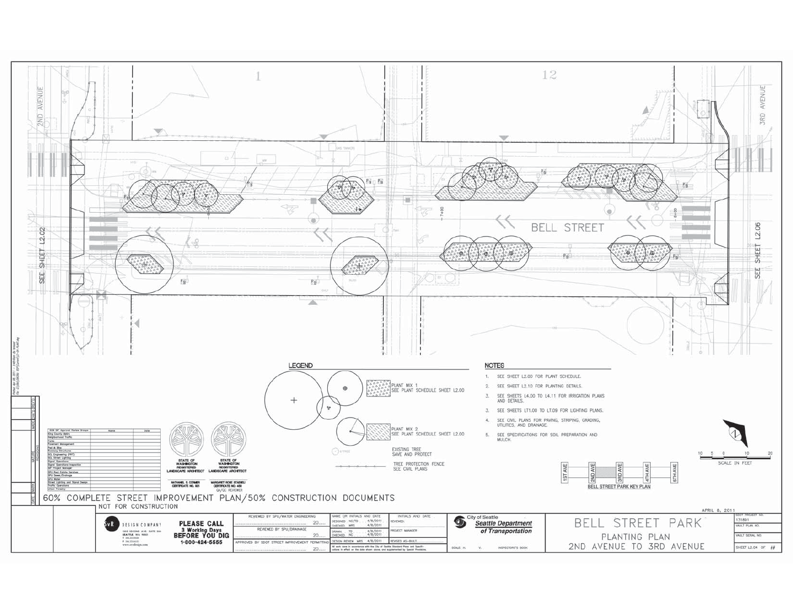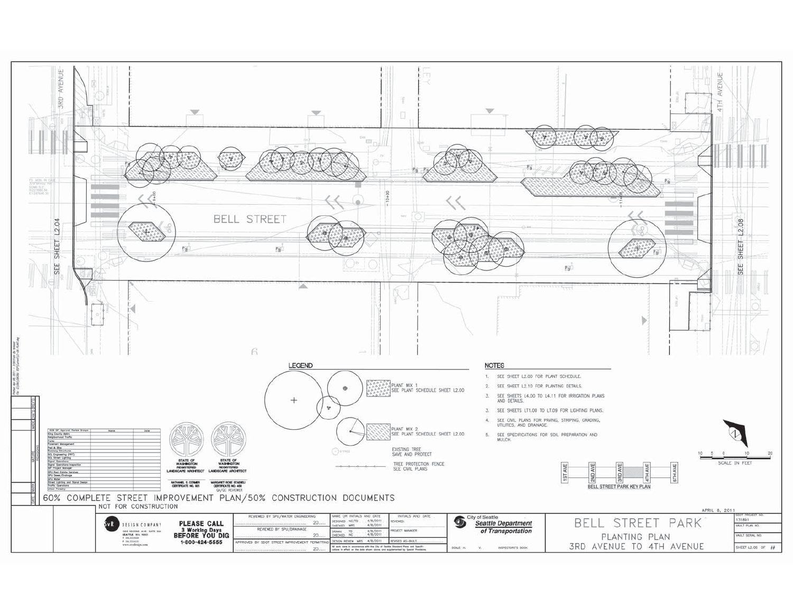